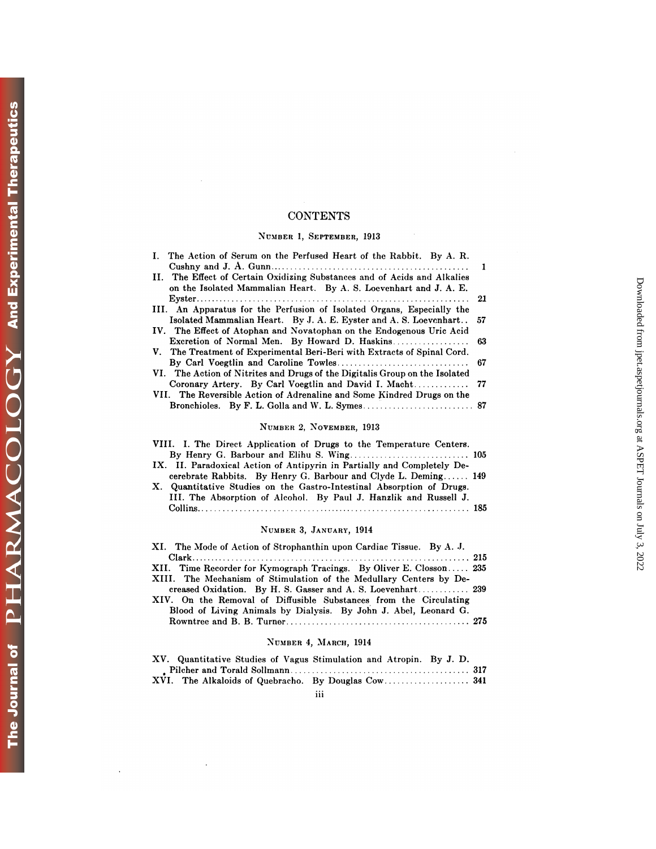# **CONTENTS**

### **NUMBER** 1, **SEPTEMBER,** 1913

| <b>CONTENTS</b>                                                                                                                               |         |
|-----------------------------------------------------------------------------------------------------------------------------------------------|---------|
| NUMBER 1, SEPTEMBER, 1913                                                                                                                     |         |
| The Action of Serum on the Perfused Heart of the Rabbit. By A. R.<br>L.                                                                       |         |
| II. The Effect of Certain Oxidizing Substances and of Acids and Alkalies<br>on the Isolated Mammalian Heart. By A. S. Loevenhart and J. A. E. | 1<br>21 |
| III. An Apparatus for the Perfusion of Isolated Organs, Especially the<br>Isolated Mammalian Heart. By J. A. E. Eyster and A. S. Loevenhart   | 57      |
| IV. The Effect of Atophan and Novatophan on the Endogenous Uric Acid<br>Excretion of Normal Men. By Howard D. Haskins                         | 63      |
| V. The Treatment of Experimental Beri-Beri with Extracts of Spinal Cord.                                                                      | 67      |
| VI. The Action of Nitrites and Drugs of the Digitalis Group on the Isolated<br>Coronary Artery. By Carl Voegtlin and David I. Macht           | 77      |
| VII. The Reversible Action of Adrenaline and Some Kindred Drugs on the                                                                        |         |
| NUMBER 2, NOVEMBER, 1913                                                                                                                      |         |
| VIII. I. The Direct Application of Drugs to the Temperature Centers.                                                                          |         |

#### NUMBER 2, NOVEMBER, 1913

| NUMBER 2. NOVEMBER, 1913                                                |
|-------------------------------------------------------------------------|
| VIII. I. The Direct Application of Drugs to the Temperature Centers.    |
|                                                                         |
| IX. II. Paradoxical Action of Antipyrin in Partially and Completely De- |
| cerebrate Rabbits. By Henry G. Barbour and Clyde L. Deming 149          |
| X. Quantitative Studies on the Gastro-Intestinal Absorption of Drugs.   |
| III. The Absorption of Alcohol. By Paul J. Hanzlik and Russell J.       |
|                                                                         |

### NUMBER 3, JANUARY, 1914

| NUMBER 3, JANUARY, 1914                                              |
|----------------------------------------------------------------------|
| XI. The Mode of Action of Strophanthin upon Cardiac Tissue. By A. J. |
|                                                                      |
| XII. Time Recorder for Kymograph Tracings. By Oliver E. Closson 235  |
| XIII. The Mechanism of Stimulation of the Medullary Centers by De-   |
|                                                                      |
| XIV. On the Removal of Diffusible Substances from the Circulating    |
| Blood of Living Animals by Dialysis. By John J. Abel, Leonard G.     |
|                                                                      |

### **NUMBER** 4, MARCH, 1914

| Drove of Drying Aminians by Diarysis. Dy John J. Abel, Debhard O.   |
|---------------------------------------------------------------------|
| NUMBER 4, MARCH, 1914                                               |
| XV. Quantitative Studies of Vagus Stimulation and Atropin. By J. D. |
| XVI. The Alkaloids of Quebracho. By Douglas Cow 341                 |
| <br>111                                                             |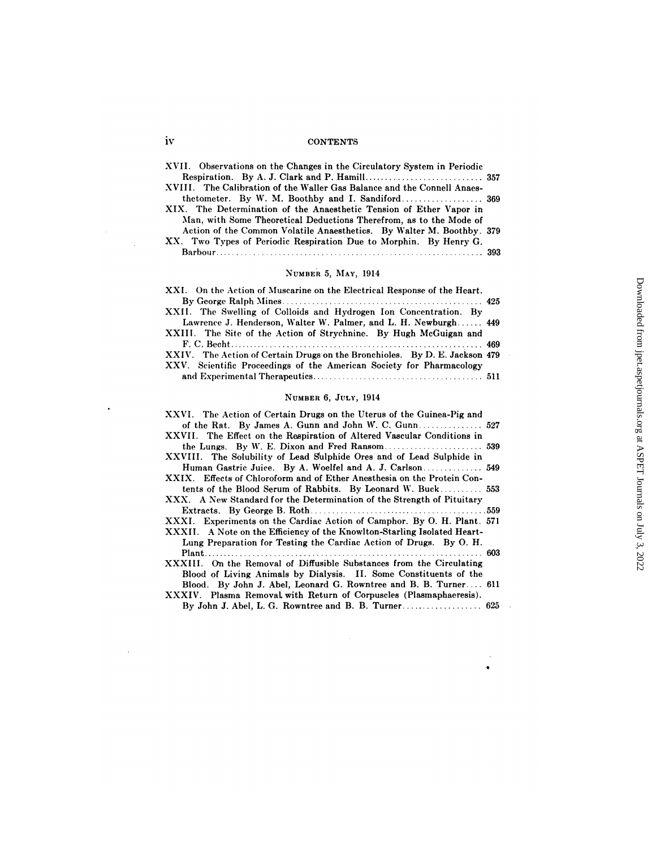### **1V** CONTENTS

| iv | <b>CONTENTS</b>                                                                                                                           |  |
|----|-------------------------------------------------------------------------------------------------------------------------------------------|--|
|    | XVII. Observations on the Changes in the Circulatory System in Periodic                                                                   |  |
|    |                                                                                                                                           |  |
|    | XVIII. The Calibration of the Waller Gas Balance and the Connell Anaes-                                                                   |  |
|    | XIX. The Determination of the Anaesthetic Tension of Ether Vapor in<br>Man, with Some Theoretical Deductions Therefrom, as to the Mode of |  |
|    | Action of the Common Volatile Anaesthetics. By Walter M. Boothby. 379                                                                     |  |
|    | XX. Two Types of Periodic Respiration Due to Morphin. By Henry G.                                                                         |  |
|    | Barbour.                                                                                                                                  |  |

# **NUMBER** 5, **MAY,** 1914

| NUMBER 5. MAY, 1914                                                                                                                                |  |
|----------------------------------------------------------------------------------------------------------------------------------------------------|--|
| XXI. On the Action of Muscarine on the Electrical Response of the Heart.                                                                           |  |
|                                                                                                                                                    |  |
| XXII. The Swelling of Colloids and Hydrogen Ion Concentration. By                                                                                  |  |
| Lawrence J. Henderson, Walter W. Palmer, and L. H. Newburgh 449<br>XXIII. The Site of the Action of Strychnine. By Hugh McGuigan and               |  |
|                                                                                                                                                    |  |
| XXIV. The Action of Certain Drugs on the Bronchioles. By D. E. Jackson 479<br>XXV. Scientific Proceedings of the American Society for Pharmacology |  |
|                                                                                                                                                    |  |

### NUMBER 6, **JULY,** 1914

| $\cdots$ contribute a formalling of the finicitoric correct for a member of $\mathbf{y}$                                                            |     |
|-----------------------------------------------------------------------------------------------------------------------------------------------------|-----|
| NUMBER 6, JULY, 1914                                                                                                                                |     |
| XXVI. The Action of Certain Drugs on the Uterus of the Guinea-Pig and                                                                               |     |
| of the Rat. By James A. Gunn and John W. C. Gunn 527                                                                                                |     |
| XXVII. The Effect on the Respiration of Altered Vascular Conditions in                                                                              |     |
|                                                                                                                                                     |     |
| XXVIII. The Solubility of Lead Sulphide Ores and of Lead Sulphide in                                                                                |     |
| Human Gastric Juice. By A. Woelfel and A. J. Carlson 549                                                                                            |     |
| XXIX. Effects of Chloroform and of Ether Anesthesia on the Protein Con-                                                                             |     |
|                                                                                                                                                     |     |
| XXX. A New Standard for the Determination of the Strength of Pituitary                                                                              |     |
|                                                                                                                                                     |     |
| XXXI. Experiments on the Cardiac Action of Camphor. By O. H. Plant. 571<br>XXXII. A Note on the Efficiency of the Knowlton-Starling Isolated Heart- |     |
| Lung Preparation for Testing the Cardiac Action of Drugs. By O. H.                                                                                  | 603 |
| XXXIII. On the Removal of Diffusible Substances from the Circulating<br>Blood of Living Animals by Dialysis. II. Some Constituents of the           |     |
| Blood. By John J. Abel, Leonard G. Rowntree and B. B. Turner 611<br>XXXIV. Plasma Removal with Return of Corpuscles (Plasmaphaeresis).              |     |
| By John J. Abel, L. G. Rowntree and B. B. Turner 625                                                                                                |     |

 $\bullet$ 

 $\ddot{\phantom{1}}$ 

 $\sim 10$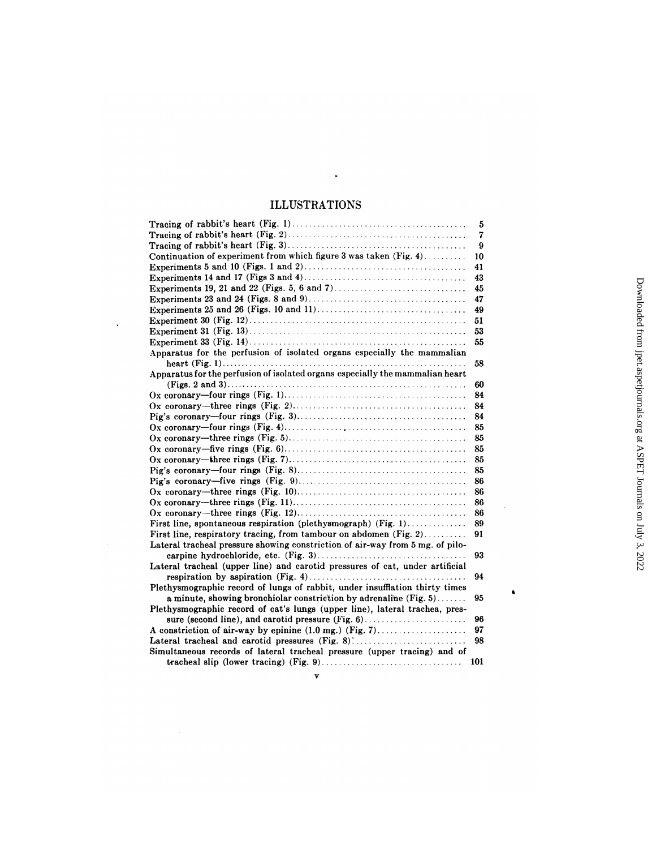# ILLUSTRATIONS

 $\sim 100$ 

 $\mathcal{L}^{\text{max}}_{\text{max}}$ 

| <b>ILLUSTRATIONS</b>                                                          |     |                                                                     |
|-------------------------------------------------------------------------------|-----|---------------------------------------------------------------------|
|                                                                               | 5   |                                                                     |
|                                                                               | 7   |                                                                     |
|                                                                               | 9   |                                                                     |
| Continuation of experiment from which figure 3 was taken $(Fig, 4)$           | 10  |                                                                     |
|                                                                               | 41  |                                                                     |
|                                                                               | 43  |                                                                     |
|                                                                               | 45  |                                                                     |
|                                                                               | 47  |                                                                     |
|                                                                               | 49  |                                                                     |
|                                                                               | 51  |                                                                     |
|                                                                               | 53  |                                                                     |
|                                                                               | 55  |                                                                     |
| Apparatus for the perfusion of isolated organs especially the mammalian       |     | Downloaded from jpet.aspetjournals.org at ASPET Journals on July 3, |
|                                                                               | 58  |                                                                     |
| Apparatus for the perfusion of isolated organs especially the mammalian heart |     |                                                                     |
|                                                                               | 60  |                                                                     |
|                                                                               | 84  |                                                                     |
|                                                                               | 84  |                                                                     |
|                                                                               | 84  |                                                                     |
|                                                                               | 85  |                                                                     |
|                                                                               | 85  |                                                                     |
|                                                                               | 85  |                                                                     |
|                                                                               | 85  |                                                                     |
|                                                                               | 85  |                                                                     |
|                                                                               | 86  |                                                                     |
|                                                                               | 86  |                                                                     |
|                                                                               | 86  |                                                                     |
|                                                                               | 86  |                                                                     |
| First line, spontaneous respiration (plethysmograph) (Fig. 1)                 | 89  |                                                                     |
| First line, respiratory tracing, from tambour on abdomen $(Fig. 2)$           | 91  |                                                                     |
| Lateral tracheal pressure showing constriction of air-way from 5 mg. of pilo- |     |                                                                     |
|                                                                               | 93  |                                                                     |
| Lateral tracheal (upper line) and carotid pressures of cat, under artificial  |     |                                                                     |
|                                                                               | 94  |                                                                     |
| Plethysmographic record of lungs of rabbit, under insufflation thirty times   |     |                                                                     |
| a minute, showing bronchiolar constriction by adrenaline $(Fig. 5)$           | 95  |                                                                     |
| Plethysmographic record of cat's lungs (upper line), lateral trachea, pres-   |     |                                                                     |
|                                                                               | 96  |                                                                     |
| A constriction of air-way by epinine $(1.0 \text{ mg.})$ (Fig. 7)             | 97  |                                                                     |
| Lateral tracheal and carotid pressures (Fig. 8)                               | 98  |                                                                     |
| Simultaneous records of lateral tracheal pressure (upper tracing) and of      |     |                                                                     |
|                                                                               | 101 |                                                                     |
| v                                                                             |     |                                                                     |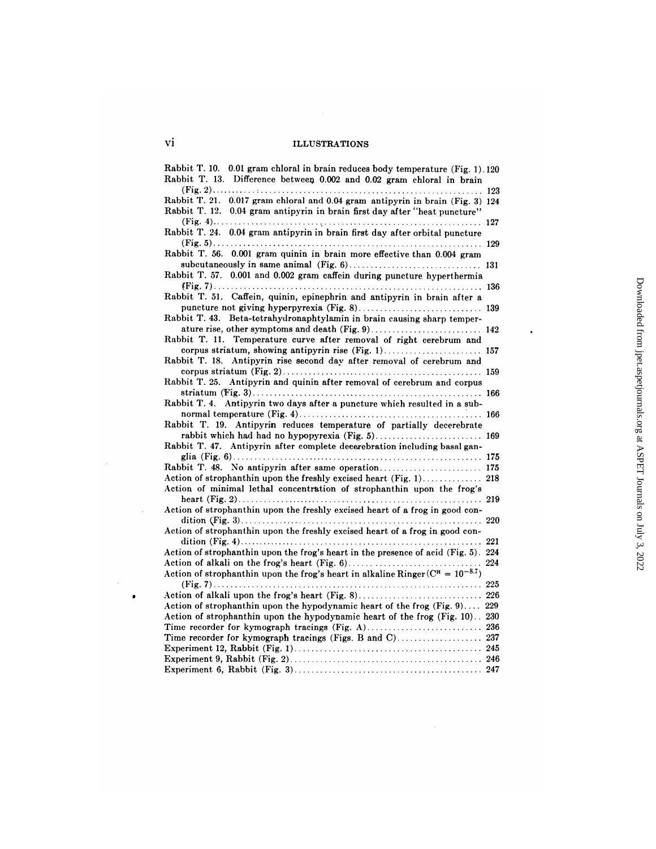$\mathcal{L}^{\text{max}}_{\text{max}}$ 

| VÌ<br><b>ILLUSTRATIONS</b>                                                                                                                                                                            |     |
|-------------------------------------------------------------------------------------------------------------------------------------------------------------------------------------------------------|-----|
| Rabbit T. 10. 0.01 gram chloral in brain reduces body temperature (Fig. 1).120<br>Rabbit T. 13. Difference between 0.002 and 0.02 gram chloral in brain                                               |     |
| Rabbit T. 21. 0.017 gram chloral and 0.04 gram antipyrin in brain (Fig. 3) 124<br>Rabbit T. 12. 0.04 gram antipyrin in brain first day after "heat puncture"                                          |     |
| Rabbit T. 24. 0.04 gram antipyrin in brain first day after orbital puncture                                                                                                                           |     |
| Rabbit T. 56. 0.001 gram quinin in brain more effective than 0.004 gram                                                                                                                               |     |
| Rabbit T. 57. 0.001 and 0.002 gram caffein during puncture hyperthermia                                                                                                                               |     |
| Rabbit T. 51. Caffein, quinin, epinephrin and antipyrin in brain after a                                                                                                                              |     |
| Rabbit T. 43. Beta-tetrahydronaphtylamin in brain causing sharp temper-<br>ature rise, other symptoms and death (Fig. 9) 142                                                                          |     |
| Rabbit T. 11. Temperature curve after removal of right cerebrum and<br>corpus striatum, showing antipyrin rise (Fig. 1) 157                                                                           |     |
| Rabbit T. 18. Antipyrin rise second day after removal of cerebrum and                                                                                                                                 |     |
| Rabbit T. 25. Antipyrin and quinin after removal of cerebrum and corpus                                                                                                                               |     |
| Rabbit T. 4. Antipyrin two days after a puncture which resulted in a sub-                                                                                                                             |     |
| Rabbit T. 19. Antipyrin reduces temperature of partially decerebrate<br>rabbit which had had no hypopyrexia (Fig. 5) 169<br>Rabbit T. 47. Antipyrin after complete decerebration including basal gan- |     |
| Rabbit T. 48. No antipyrin after same operation 175                                                                                                                                                   |     |
| Action of strophanthin upon the freshly excised heart (Fig. 1) 218<br>Action of minimal lethal concentration of strophanthin upon the frog's                                                          |     |
| Action of strophanthin upon the freshly excised heart of a frog in good con-                                                                                                                          |     |
| Action of strophanthin upon the freshly excised heart of a frog in good con-                                                                                                                          |     |
| Action of strophanthin upon the frog's heart in the presence of acid (Fig. 5). 224                                                                                                                    | 221 |
| Action of strophanthin upon the frog's heart in alkaline Ringer $(C^{\pi} = 10^{-8.7})$                                                                                                               |     |
| Action of strophanthin upon the hypodynamic heart of the frog (Fig. 9) 229                                                                                                                            |     |
| Action of strophanthin upon the hypodynamic heart of the frog (Fig. 10). 230<br>Time recorder for kymograph tracings (Fig. A) 236                                                                     |     |
|                                                                                                                                                                                                       |     |
|                                                                                                                                                                                                       |     |

 $\ddot{\phantom{0}}$ 

 $\bar{\beta}$ 

 $\bullet$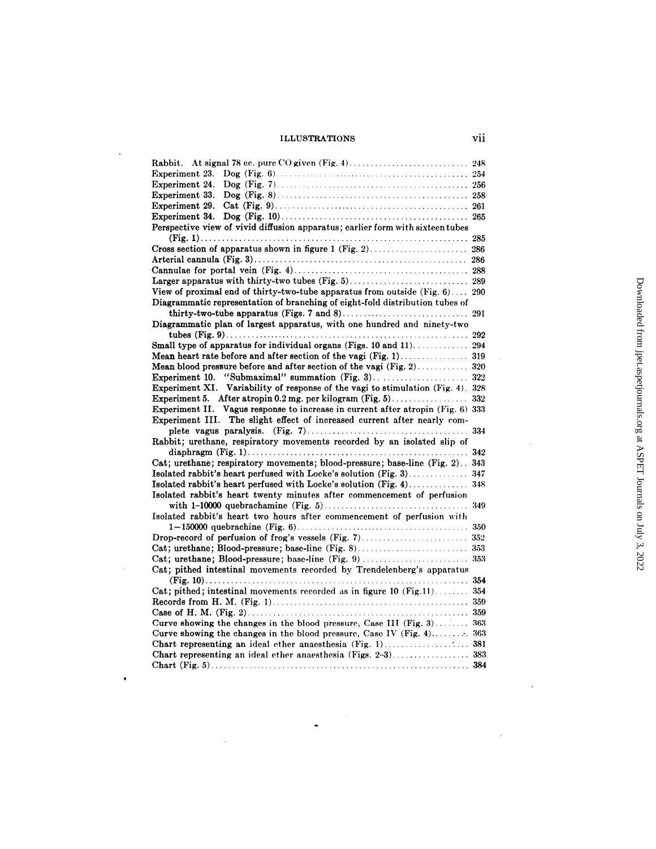$\ddot{\phantom{a}}$ 

 $\sim$   $\sim$ 

 $\bullet$ 

 $\mathcal{L}^{\text{max}}_{\text{max}}$ 

| <b>ILLUSTRATIONS</b>                                                            | vii |
|---------------------------------------------------------------------------------|-----|
|                                                                                 |     |
| Experiment 23.                                                                  |     |
|                                                                                 |     |
| Experiment 33.                                                                  |     |
|                                                                                 |     |
|                                                                                 |     |
| Perspective view of vivid diffusion apparatus; earlier form with sixteen tubes  |     |
|                                                                                 |     |
|                                                                                 |     |
|                                                                                 |     |
|                                                                                 |     |
|                                                                                 |     |
| View of proximal end of thirty-two-tube apparatus from outside (Fig. 6) 290     |     |
| Diagrammatic representation of branching of eight-fold distribution tubes of    |     |
|                                                                                 | 291 |
| Diagrammatic plan of largest apparatus, with one hundred and ninety-two         |     |
|                                                                                 |     |
| Small type of apparatus for individual organs (Figs. 10 and 11). 294            |     |
|                                                                                 |     |
|                                                                                 |     |
| Experiment 10. "Submaximal" summation (Fig. 3) 322                              |     |
| Experiment XI. Variability of response of the vagi to stimulation (Fig. 4). 328 |     |
|                                                                                 |     |
| Experiment II. Vagus response to increase in current after atropin (Fig. 6) 333 |     |
| Experiment III. The slight effect of increased current after nearly com-        |     |
|                                                                                 | 334 |
| Rabbit; urethane, respiratory movements recorded by an isolated slip of         |     |
|                                                                                 |     |
| Cat; urethane; respiratory movements; blood-pressure; base-line (Fig. 2) 343    |     |
| Isolated rabbit's heart perfused with Locke's solution (Fig. 3) 347             |     |
|                                                                                 |     |
| Isolated rabbit's heart twenty minutes after commencement of perfusion          |     |
|                                                                                 | 349 |
| Isolated rabbit's heart two hours after commencement of perfusion with          |     |
|                                                                                 |     |
|                                                                                 |     |
|                                                                                 |     |
| Cat; urethane; Blood-pressure; base-line (Fig. 9)                               | 353 |
| Cat; pithed intestinal movements recorded by Trendelenberg's apparatus          |     |
|                                                                                 |     |
| Cat; pithed; intestinal movements recorded as in figure 10 (Fig.11) 354         |     |
|                                                                                 | 359 |
|                                                                                 | 359 |
| Curve showing the changes in the blood pressure, Case III $(Fig. 3)$            | 363 |
| Curve showing the changes in the blood pressure, Case IV (Fig. $4$ ) 363        |     |
|                                                                                 | 381 |
|                                                                                 | 383 |
|                                                                                 |     |

 $\frac{1}{\sqrt{2}}$  ,  $\frac{1}{\sqrt{2}}$ 

 $\ddot{\phantom{0}}$ 

 $\mathcal{A}$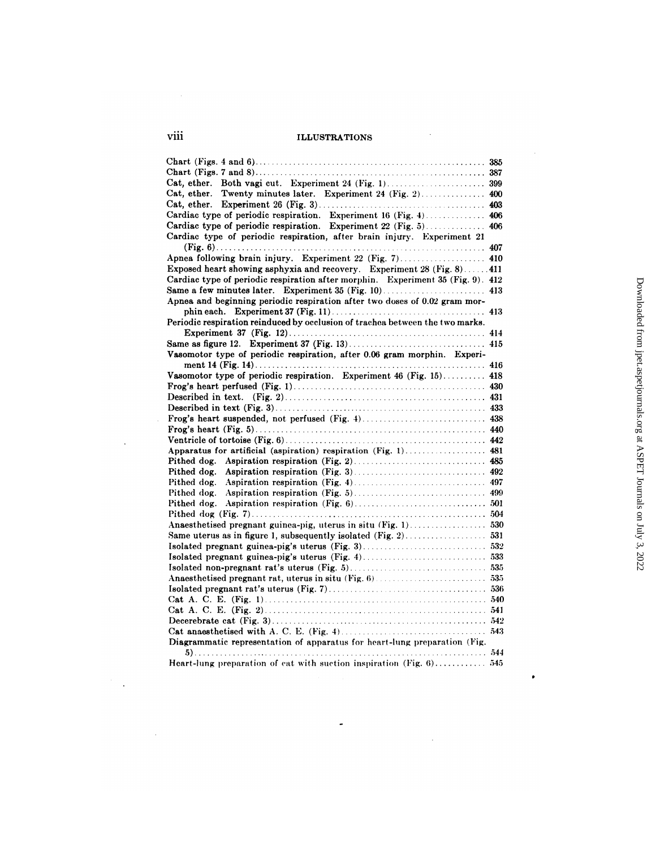| viii<br><b>ILLUSTRATIONS</b>                                                                                                                |     |
|---------------------------------------------------------------------------------------------------------------------------------------------|-----|
|                                                                                                                                             |     |
|                                                                                                                                             | 385 |
|                                                                                                                                             |     |
|                                                                                                                                             |     |
| Cat, ether. Twenty minutes later. Experiment 24 (Fig. 2) 400                                                                                |     |
|                                                                                                                                             |     |
| Cardiac type of periodic respiration. Experiment 16 (Fig. 4) 406                                                                            |     |
| Cardiac type of periodic respiration. Experiment 22 (Fig. 5) 406<br>Cardiac type of periodic respiration, after brain injury. Experiment 21 |     |
|                                                                                                                                             | 407 |
| Apnea following brain injury. Experiment 22 (Fig. 7) 410                                                                                    |     |
| Exposed heart showing asphyxia and recovery. Experiment 28 (Fig. 8) 411                                                                     |     |
| Cardiac type of periodic respiration after morphin. Experiment 35 (Fig. 9). 412                                                             |     |
|                                                                                                                                             |     |
| Apnea and beginning periodic respiration after two doses of 0.02 gram mor-                                                                  |     |
|                                                                                                                                             |     |
| Periodic respiration reinduced by occlusion of trachea between the two marks.                                                               |     |
|                                                                                                                                             |     |
|                                                                                                                                             |     |
| Vasomotor type of periodic respiration, after 0.06 gram morphin. Experi-                                                                    |     |
|                                                                                                                                             |     |
| Vasomotor type of periodic respiration. Experiment 46 (Fig. 15) 418                                                                         |     |
|                                                                                                                                             |     |
|                                                                                                                                             |     |
|                                                                                                                                             |     |
|                                                                                                                                             |     |
|                                                                                                                                             |     |
|                                                                                                                                             |     |
| Apparatus for artificial (aspiration) respiration (Fig. 1) 481                                                                              |     |
|                                                                                                                                             |     |
| Pithed dog.                                                                                                                                 |     |
| Pithed dog.                                                                                                                                 |     |
| Pithed dog.                                                                                                                                 |     |
| Pithed dog.                                                                                                                                 |     |
|                                                                                                                                             |     |
| Anaesthetised pregnant guinea-pig, uterus in situ (Fig. 1) 530                                                                              |     |
|                                                                                                                                             |     |
|                                                                                                                                             |     |
|                                                                                                                                             |     |
|                                                                                                                                             |     |
|                                                                                                                                             |     |
|                                                                                                                                             |     |
|                                                                                                                                             |     |
|                                                                                                                                             |     |
|                                                                                                                                             |     |
|                                                                                                                                             |     |
| Diagrammatic representation of apparatus for heart-lung preparation (Fig.                                                                   |     |
|                                                                                                                                             |     |
| Heart-lung preparation of cat with suction inspiration (Fig. 6) 545                                                                         |     |
|                                                                                                                                             |     |

 $\ddot{\phantom{0}}$ 

 $\sim 10$ 

 $\sim$ 

 $\bullet$ 

 $\sim 10^{-11}$ 

 $\mathcal{A}$ 

 $\sim$   $\sim$